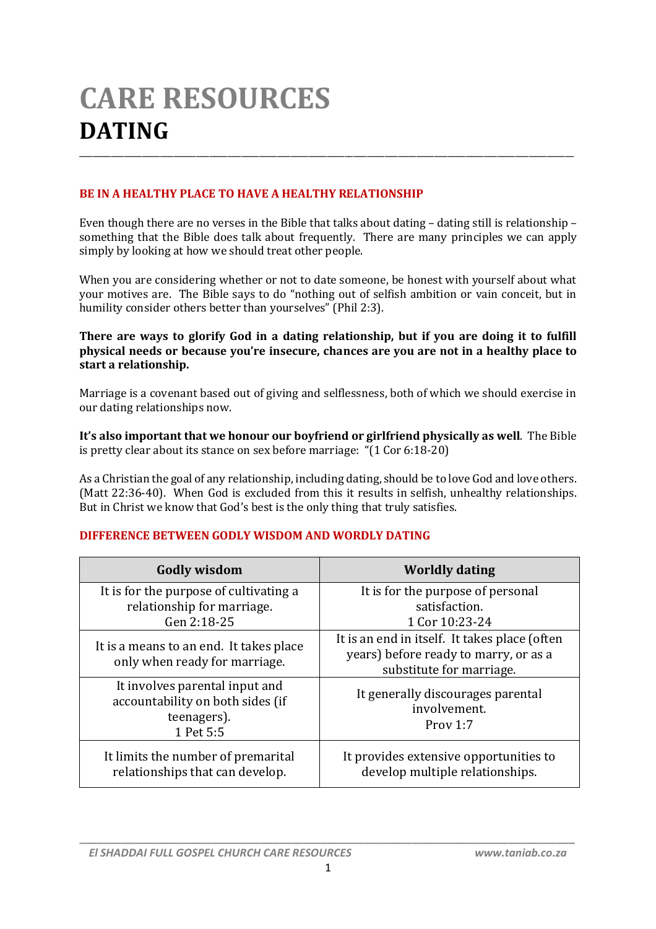# **CARE RESOURCES DATING** \_\_\_\_\_\_\_\_\_\_\_\_\_\_\_\_\_\_\_\_\_\_\_\_\_\_\_\_\_\_\_\_\_\_\_\_\_\_\_\_\_\_\_\_\_\_\_\_\_\_\_\_\_\_\_\_\_\_\_\_\_\_\_\_\_\_\_\_\_\_\_\_\_\_\_\_\_\_\_\_\_\_\_\_\_\_\_\_\_\_\_\_\_\_\_\_\_\_\_\_\_\_\_\_\_\_\_\_\_\_

# **BE IN A HEALTHY PLACE TO HAVE A HEALTHY RELATIONSHIP**

Even though there are no verses in the Bible that talks about dating – dating still is relationship – something that the Bible does talk about frequently. There are many principles we can apply simply by looking at how we should treat other people.

When you are considering whether or not to date someone, be honest with yourself about what your motives are. The Bible says to do "nothing out of selfish ambition or vain conceit, but in humility consider others better than yourselves" (Phil 2:3).

#### **There are ways to glorify God in a dating relationship, but if you are doing it to fulfill physical needs or because you're insecure, chances are you are not in a healthy place to start a relationship.**

Marriage is a covenant based out of giving and selflessness, both of which we should exercise in our dating relationships now.

**It's also important that we honour our boyfriend or girlfriend physically as well**. The Bible is pretty clear about its stance on sex before marriage: "(1 Cor 6:18-20)

As a Christian the goal of any relationship, including dating, should be to love God and love others. (Matt 22:36-40). When God is excluded from this it results in selfish, unhealthy relationships. But in Christ we know that God's best is the only thing that truly satisfies.

## **DIFFERENCE BETWEEN GODLY WISDOM AND WORDLY DATING**

| <b>Godly wisdom</b>                                                                            | <b>Worldly dating</b>                                                                                              |
|------------------------------------------------------------------------------------------------|--------------------------------------------------------------------------------------------------------------------|
| It is for the purpose of cultivating a<br>relationship for marriage.<br>Gen 2:18-25            | It is for the purpose of personal<br>satisfaction.<br>1 Cor 10:23-24                                               |
| It is a means to an end. It takes place<br>only when ready for marriage.                       | It is an end in itself. It takes place (often<br>years) before ready to marry, or as a<br>substitute for marriage. |
| It involves parental input and<br>accountability on both sides (if<br>teenagers).<br>1 Pet 5:5 | It generally discourages parental<br>involvement.<br>Prov 1:7                                                      |
| It limits the number of premarital<br>relationships that can develop.                          | It provides extensive opportunities to<br>develop multiple relationships.                                          |

*\_\_\_\_\_\_\_\_\_\_\_\_\_\_\_\_\_\_\_\_\_\_\_\_\_\_\_\_\_\_\_\_\_\_\_\_\_\_\_\_\_\_\_\_\_\_\_\_\_\_\_\_\_\_\_\_\_\_\_\_\_\_\_\_\_\_\_\_\_\_\_\_\_\_\_\_\_\_\_\_\_\_*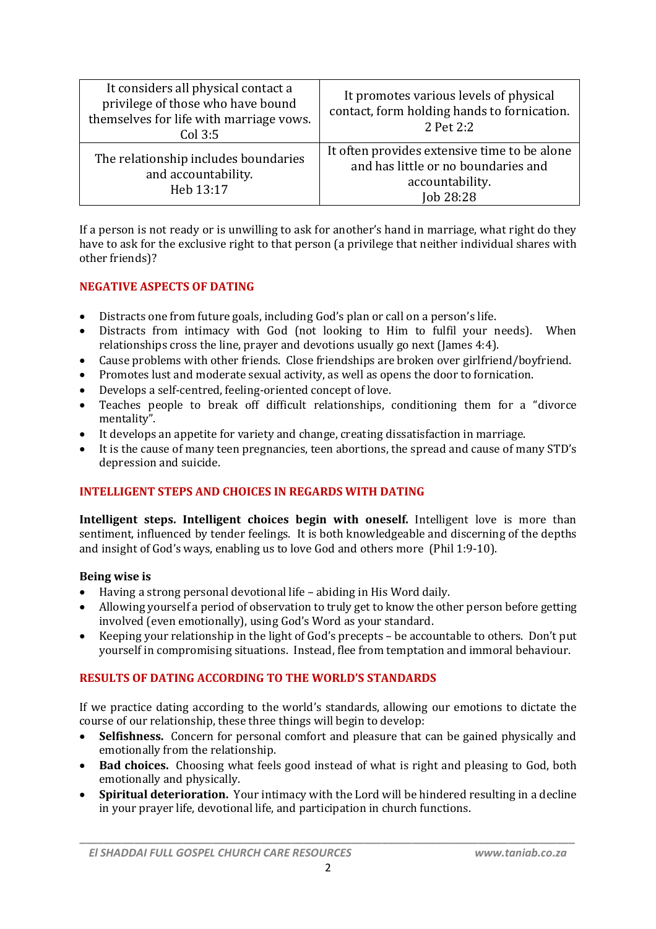| It considers all physical contact a<br>privilege of those who have bound<br>themselves for life with marriage vows.<br>$Col$ 3:5 | It promotes various levels of physical<br>contact, form holding hands to fornication.<br>2 Pet 2:2                  |
|----------------------------------------------------------------------------------------------------------------------------------|---------------------------------------------------------------------------------------------------------------------|
| The relationship includes boundaries<br>and accountability.<br>Heb 13:17                                                         | It often provides extensive time to be alone<br>and has little or no boundaries and<br>accountability.<br>Job 28:28 |

If a person is not ready or is unwilling to ask for another's hand in marriage, what right do they have to ask for the exclusive right to that person (a privilege that neither individual shares with other friends)?

## **NEGATIVE ASPECTS OF DATING**

- Distracts one from future goals, including God's plan or call on a person's life.
- Distracts from intimacy with God (not looking to Him to fulfil your needs). When relationships cross the line, prayer and devotions usually go next (James 4:4).
- Cause problems with other friends. Close friendships are broken over girlfriend/boyfriend.
- Promotes lust and moderate sexual activity, as well as opens the door to fornication.
- Develops a self-centred, feeling-oriented concept of love.
- Teaches people to break off difficult relationships, conditioning them for a "divorce mentality".
- It develops an appetite for variety and change, creating dissatisfaction in marriage.
- It is the cause of many teen pregnancies, teen abortions, the spread and cause of many STD's depression and suicide.

# **INTELLIGENT STEPS AND CHOICES IN REGARDS WITH DATING**

**Intelligent steps. Intelligent choices begin with oneself.** Intelligent love is more than sentiment, influenced by tender feelings. It is both knowledgeable and discerning of the depths and insight of God's ways, enabling us to love God and others more (Phil 1:9-10).

#### **Being wise is**

- Having a strong personal devotional life abiding in His Word daily.
- Allowing yourself a period of observation to truly get to know the other person before getting involved (even emotionally), using God's Word as your standard.
- Keeping your relationship in the light of God's precepts be accountable to others. Don't put yourself in compromising situations. Instead, flee from temptation and immoral behaviour.

## **RESULTS OF DATING ACCORDING TO THE WORLD'S STANDARDS**

If we practice dating according to the world's standards, allowing our emotions to dictate the course of our relationship, these three things will begin to develop:

- **Selfishness.** Concern for personal comfort and pleasure that can be gained physically and emotionally from the relationship.
- **Bad choices.** Choosing what feels good instead of what is right and pleasing to God, both emotionally and physically.
- **Spiritual deterioration.** Your intimacy with the Lord will be hindered resulting in a decline in your prayer life, devotional life, and participation in church functions.

*\_\_\_\_\_\_\_\_\_\_\_\_\_\_\_\_\_\_\_\_\_\_\_\_\_\_\_\_\_\_\_\_\_\_\_\_\_\_\_\_\_\_\_\_\_\_\_\_\_\_\_\_\_\_\_\_\_\_\_\_\_\_\_\_\_\_\_\_\_\_\_\_\_\_\_\_\_\_\_\_\_\_*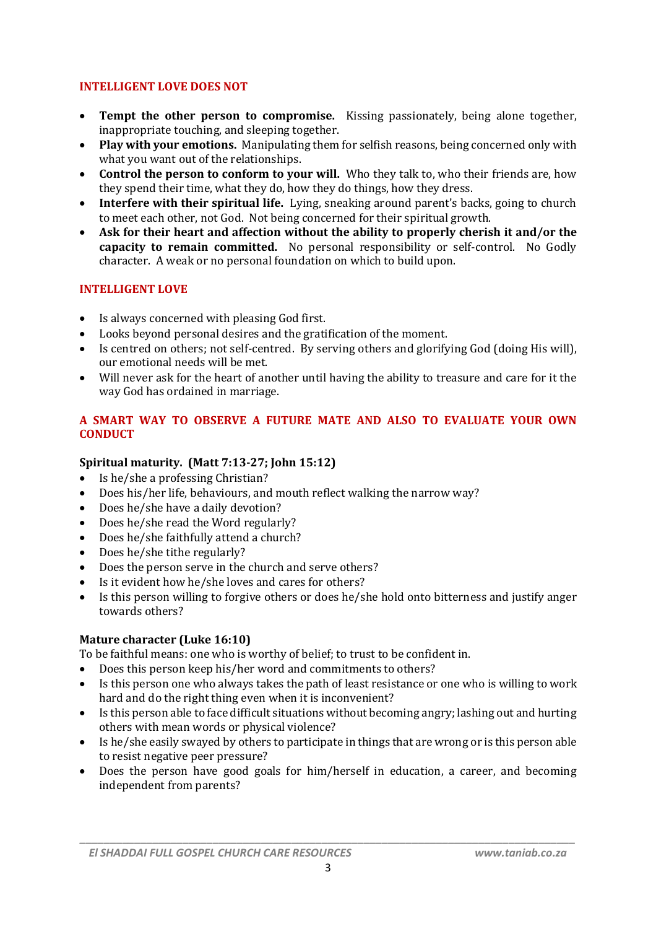### **INTELLIGENT LOVE DOES NOT**

- **Tempt the other person to compromise.** Kissing passionately, being alone together, inappropriate touching, and sleeping together.
- **Play with your emotions.** Manipulating them for selfish reasons, being concerned only with what you want out of the relationships.
- **Control the person to conform to your will.** Who they talk to, who their friends are, how they spend their time, what they do, how they do things, how they dress.
- **Interfere with their spiritual life.** Lying, sneaking around parent's backs, going to church to meet each other, not God. Not being concerned for their spiritual growth.
- **Ask for their heart and affection without the ability to properly cherish it and/or the capacity to remain committed.** No personal responsibility or self-control. No Godly character. A weak or no personal foundation on which to build upon.

### **INTELLIGENT LOVE**

- Is always concerned with pleasing God first.
- Looks beyond personal desires and the gratification of the moment.
- Is centred on others; not self-centred. By serving others and glorifying God (doing His will), our emotional needs will be met.
- Will never ask for the heart of another until having the ability to treasure and care for it the way God has ordained in marriage.

### **A SMART WAY TO OBSERVE A FUTURE MATE AND ALSO TO EVALUATE YOUR OWN CONDUCT**

## **Spiritual maturity. (Matt 7:13-27; John 15:12)**

- Is he/she a professing Christian?
- Does his/her life, behaviours, and mouth reflect walking the narrow way?
- Does he/she have a daily devotion?
- Does he/she read the Word regularly?
- Does he/she faithfully attend a church?
- Does he/she tithe regularly?
- Does the person serve in the church and serve others?
- Is it evident how he/she loves and cares for others?
- Is this person willing to forgive others or does he/she hold onto bitterness and justify anger towards others?

#### **Mature character (Luke 16:10)**

To be faithful means: one who is worthy of belief; to trust to be confident in.

- Does this person keep his/her word and commitments to others?
- Is this person one who always takes the path of least resistance or one who is willing to work hard and do the right thing even when it is inconvenient?
- Is this person able to face difficult situations without becoming angry; lashing out and hurting others with mean words or physical violence?
- Is he/she easily swayed by others to participate in things that are wrong or is this person able to resist negative peer pressure?
- Does the person have good goals for him/herself in education, a career, and becoming independent from parents?